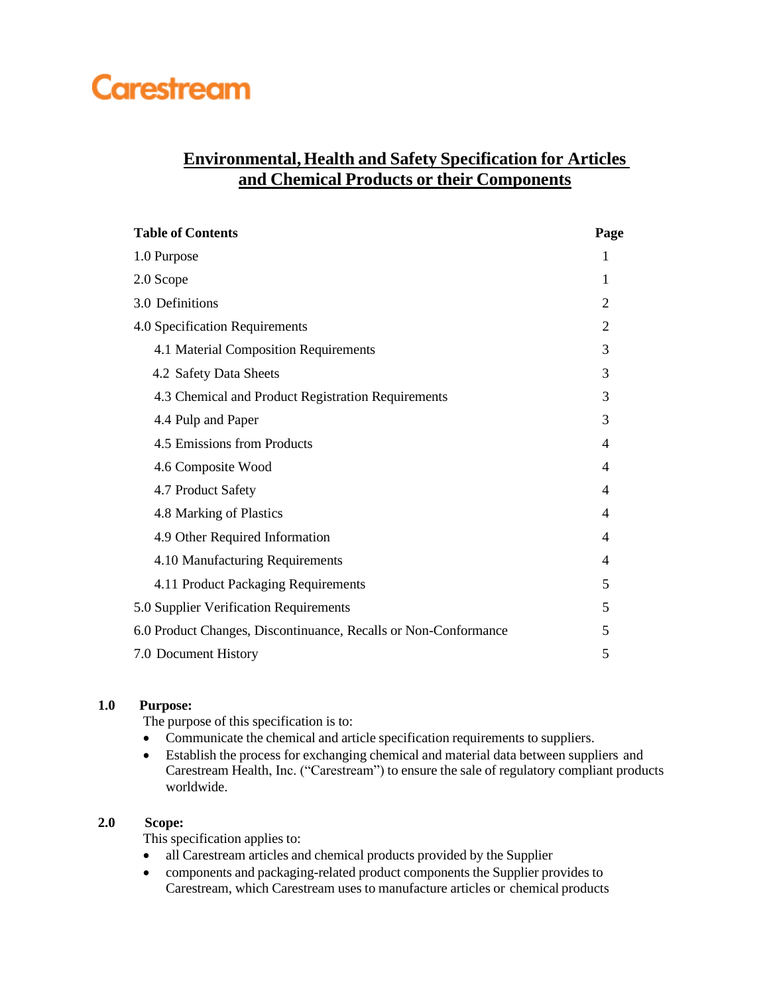# **Carestream**

## **Environmental, Health and Safety Specification for Articles and Chemical Products or their Components**

| <b>Table of Contents</b>                                        | Page |
|-----------------------------------------------------------------|------|
| 1.0 Purpose                                                     |      |
| 2.0 Scope                                                       |      |
| 3.0 Definitions                                                 |      |
| 4.0 Specification Requirements                                  |      |
| 4.1 Material Composition Requirements                           | 3    |
| 4.2 Safety Data Sheets                                          | 3    |
| 4.3 Chemical and Product Registration Requirements              | 3    |
| 4.4 Pulp and Paper                                              | 3    |
| 4.5 Emissions from Products                                     | 4    |
| 4.6 Composite Wood                                              | 4    |
| 4.7 Product Safety                                              | 4    |
| 4.8 Marking of Plastics                                         | 4    |
| 4.9 Other Required Information                                  | 4    |
| 4.10 Manufacturing Requirements                                 | 4    |
| 4.11 Product Packaging Requirements                             | 5    |
| 5.0 Supplier Verification Requirements                          |      |
| 6.0 Product Changes, Discontinuance, Recalls or Non-Conformance |      |
| 7.0 Document History                                            | 5    |

## **1.0 Purpose:**

The purpose of this specification is to:

- Communicate the chemical and article specification requirements to suppliers.
- Establish the process for exchanging chemical and material data between suppliers and Carestream Health, Inc. ("Carestream") to ensure the sale of regulatory compliant products worldwide.

## **2.0 Scope:**

This specification applies to:

- all Carestream articles and chemical products provided by the Supplier
- components and packaging-related product components the Supplier provides to Carestream, which Carestream uses to manufacture articles or chemical products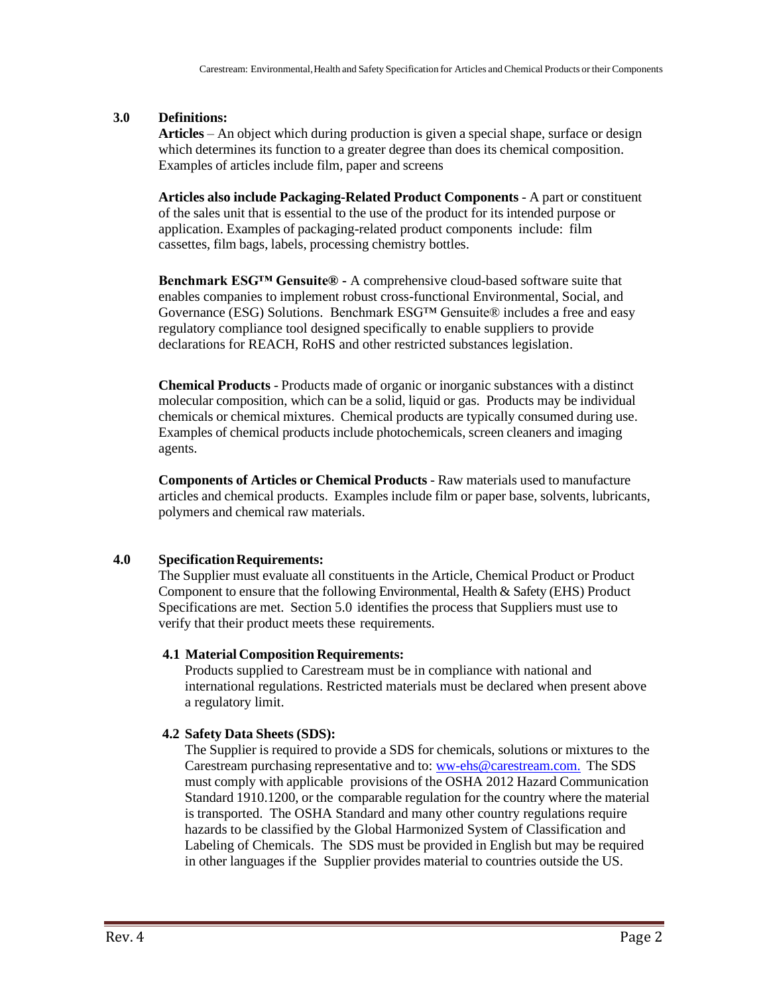#### **3.0 Definitions:**

**Articles** – An object which during production is given a special shape, surface or design which determines its function to a greater degree than does its chemical composition. Examples of articles include film, paper and screens

**Articles also include Packaging-Related Product Components** - A part or constituent of the sales unit that is essential to the use of the product for its intended purpose or application. Examples of packaging-related product components include: film cassettes, film bags, labels, processing chemistry bottles.

**Benchmark ESG™ Gensuite® -** A comprehensive cloud-based software suite that enables companies to implement robust cross-functional Environmental, Social, and Governance (ESG) Solutions. Benchmark ESG™ Gensuite® includes a free and easy regulatory compliance tool designed specifically to enable suppliers to provide declarations for REACH, RoHS and other restricted substances legislation.

**Chemical Products** - Products made of organic or inorganic substances with a distinct molecular composition, which can be a solid, liquid or gas. Products may be individual chemicals or chemical mixtures. Chemical products are typically consumed during use. Examples of chemical products include photochemicals, screen cleaners and imaging agents.

**Components of Articles or Chemical Products** - Raw materials used to manufacture articles and chemical products. Examples include film or paper base, solvents, lubricants, polymers and chemical raw materials.

## **4.0 SpecificationRequirements:**

The Supplier must evaluate all constituents in the Article, Chemical Product or Product Component to ensure that the following Environmental, Health & Safety (EHS) Product Specifications are met. Section 5.0 identifies the process that Suppliers must use to verify that their product meets these requirements.

#### **4.1 Material Composition Requirements:**

Products supplied to Carestream must be in compliance with national and international regulations. Restricted materials must be declared when present above a regulatory limit.

## **4.2 Safety Data Sheets (SDS):**

The Supplier is required to provide a SDS for chemicals, solutions or mixtures to the Carestream purchasing representative and to: [ww-ehs@carestream.com.](mailto:ww-ehs@carestream.com.) The SDS must comply with applicable provisions of the OSHA 2012 Hazard Communication Standard 1910.1200, or the comparable regulation for the country where the material is transported. The OSHA Standard and many other country regulations require hazards to be classified by the Global Harmonized System of Classification and Labeling of Chemicals. The SDS must be provided in English but may be required in other languages if the Supplier provides material to countries outside the US.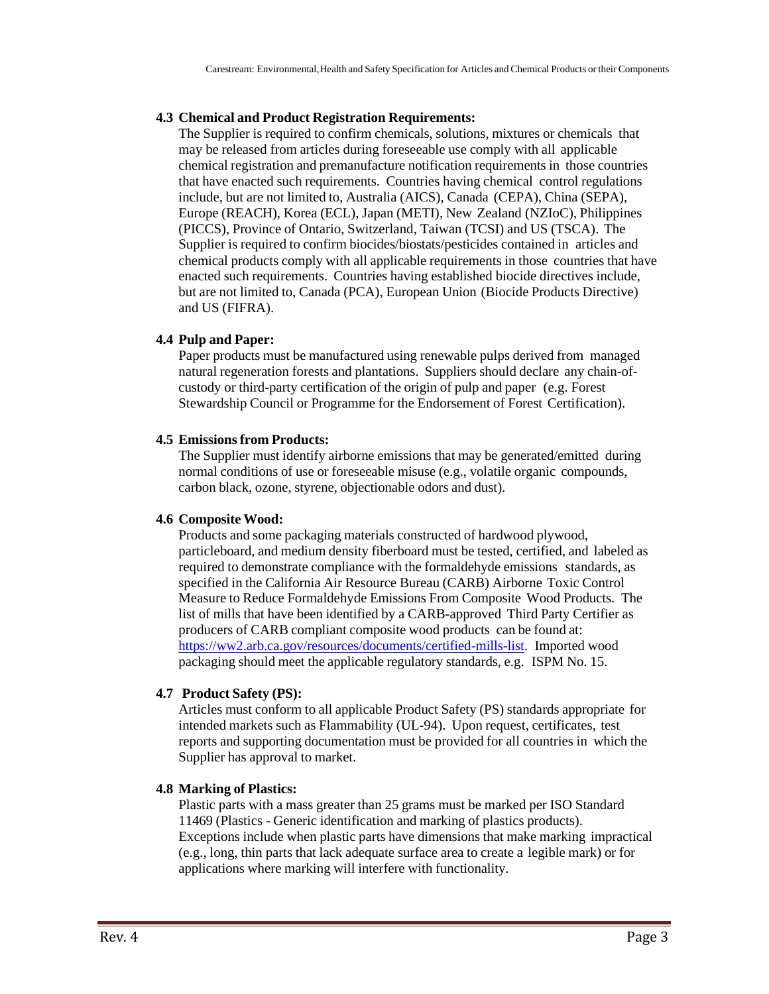#### **4.3 Chemical and Product Registration Requirements:**

The Supplier is required to confirm chemicals, solutions, mixtures or chemicals that may be released from articles during foreseeable use comply with all applicable chemical registration and premanufacture notification requirements in those countries that have enacted such requirements. Countries having chemical control regulations include, but are not limited to, Australia (AICS), Canada (CEPA), China (SEPA), Europe (REACH), Korea (ECL), Japan (METI), New Zealand (NZIoC), Philippines (PICCS), Province of Ontario, Switzerland, Taiwan (TCSI) and US (TSCA). The Supplier is required to confirm biocides/biostats/pesticides contained in articles and chemical products comply with all applicable requirements in those countries that have enacted such requirements. Countries having established biocide directives include, but are not limited to, Canada (PCA), European Union (Biocide Products Directive) and US (FIFRA).

#### **4.4 Pulp and Paper:**

Paper products must be manufactured using renewable pulps derived from managed natural regeneration forests and plantations. Suppliers should declare any chain-ofcustody or third-party certification of the origin of pulp and paper (e.g. Forest Stewardship Council or Programme for the Endorsement of Forest Certification).

#### **4.5 Emissionsfrom Products:**

The Supplier must identify airborne emissions that may be generated/emitted during normal conditions of use or foreseeable misuse (e.g., volatile organic compounds, carbon black, ozone, styrene, objectionable odors and dust).

#### **4.6 Composite Wood:**

Products and some packaging materials constructed of hardwood plywood, particleboard, and medium density fiberboard must be tested, certified, and labeled as required to demonstrate compliance with the formaldehyde emissions standards, as specified in the California Air Resource Bureau (CARB) Airborne Toxic Control Measure to Reduce Formaldehyde Emissions From Composite Wood Products. The list of mills that have been identified by a CARB-approved Third Party Certifier as producers of CARB compliant composite wood products can be found at: [https://ww2.arb.ca.gov/resources/documents/certified-mills-list.](http://www.arb.ca.gov/toxics/compwood/tpc/listofmills.htm) Imported wood packaging should meet the applicable regulatory standards, e.g. ISPM No. 15.

#### **4.7 Product Safety (PS):**

Articles must conform to all applicable Product Safety (PS) standards appropriate for intended markets such as Flammability (UL-94). Upon request, certificates, test reports and supporting documentation must be provided for all countries in which the Supplier has approval to market.

#### **4.8 Marking of Plastics:**

Plastic parts with a mass greater than 25 grams must be marked per ISO Standard 11469 (Plastics - Generic identification and marking of plastics products). Exceptions include when plastic parts have dimensions that make marking impractical (e.g., long, thin parts that lack adequate surface area to create a legible mark) or for applications where marking will interfere with functionality.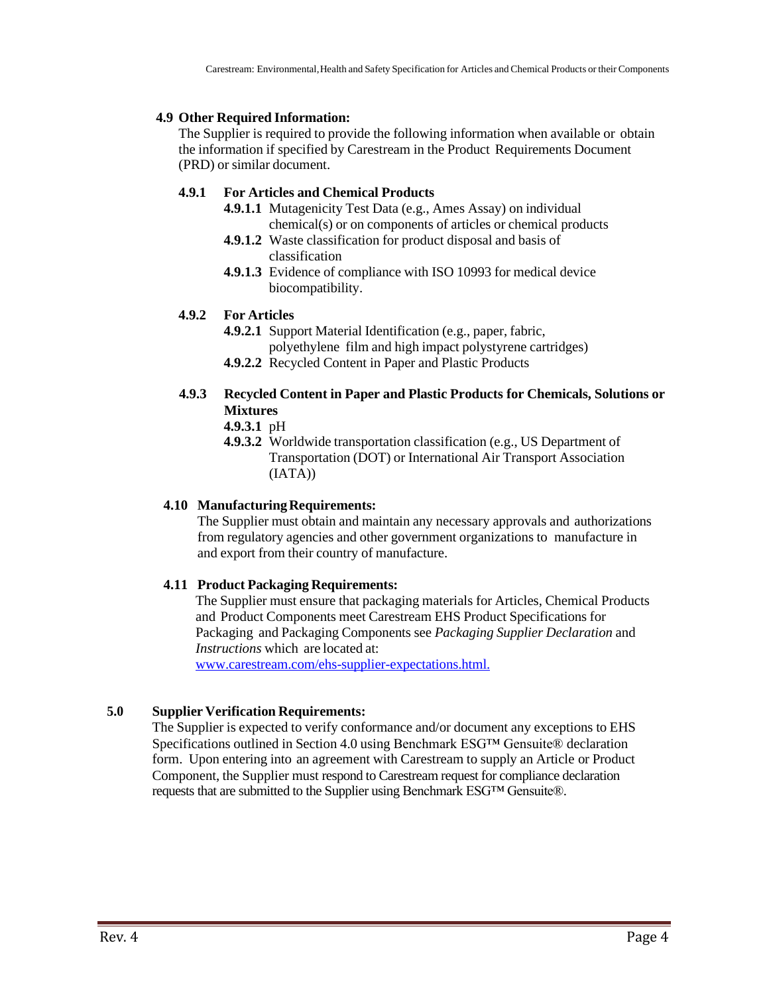## **4.9 Other Required Information:**

The Supplier is required to provide the following information when available or obtain the information if specified by Carestream in the Product Requirements Document (PRD) or similar document.

## **4.9.1 For Articles and Chemical Products**

- **4.9.1.1** Mutagenicity Test Data (e.g., Ames Assay) on individual chemical(s) or on components of articles or chemical products
- **4.9.1.2** Waste classification for product disposal and basis of classification
- **4.9.1.3** Evidence of compliance with ISO 10993 for medical device biocompatibility.

#### **4.9.2 For Articles**

**4.9.2.1** Support Material Identification (e.g., paper, fabric, polyethylene film and high impact polystyrene cartridges)

**4.9.2.2** Recycled Content in Paper and Plastic Products

## **4.9.3 Recycled Content in Paper and Plastic Products for Chemicals, Solutions or Mixtures**

- **4.9.3.1** pH
- **4.9.3.2** Worldwide transportation classification (e.g., US Department of Transportation (DOT) or International Air Transport Association (IATA))

## **4.10 ManufacturingRequirements:**

The Supplier must obtain and maintain any necessary approvals and authorizations from regulatory agencies and other government organizations to manufacture in and export from their country of manufacture.

## **4.11 Product Packaging Requirements:**

The Supplier must ensure that packaging materials for Articles, Chemical Products and Product Components meet Carestream EHS Product Specifications for Packaging and Packaging Components see *Packaging Supplier Declaration* and *Instructions* which are located at:

[www.carestream.com/ehs-supplier-expectations.html.](http://www.carestream.com/ehs-supplier-expectations.html.)

## **5.0 Supplier Verification Requirements:**

The Supplier is expected to verify conformance and/or document any exceptions to EHS Specifications outlined in Section 4.0 using Benchmark ESG™ Gensuite® declaration form. Upon entering into an agreement with Carestream to supply an Article or Product Component, the Supplier must respond to Carestream request for compliance declaration requests that are submitted to the Supplier using Benchmark ESG™ Gensuite®.